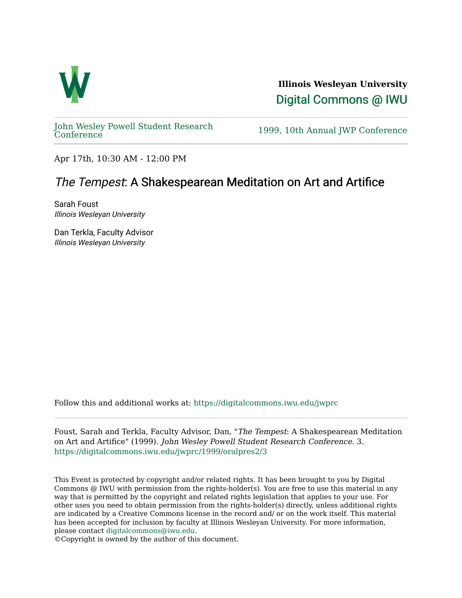

**Illinois Wesleyan University**  [Digital Commons @ IWU](https://digitalcommons.iwu.edu/) 

[John Wesley Powell Student Research](https://digitalcommons.iwu.edu/jwprc) 

1999, 10th Annual JWP [Conference](https://digitalcommons.iwu.edu/jwprc)

Apr 17th, 10:30 AM - 12:00 PM

## The Tempest: A Shakespearean Meditation on Art and Artifice

Sarah Foust Illinois Wesleyan University

Dan Terkla, Faculty Advisor Illinois Wesleyan University

Follow this and additional works at: [https://digitalcommons.iwu.edu/jwprc](https://digitalcommons.iwu.edu/jwprc?utm_source=digitalcommons.iwu.edu%2Fjwprc%2F1999%2Foralpres2%2F3&utm_medium=PDF&utm_campaign=PDFCoverPages) 

Foust, Sarah and Terkla, Faculty Advisor, Dan, "The Tempest: A Shakespearean Meditation on Art and Artifice" (1999). John Wesley Powell Student Research Conference. 3. [https://digitalcommons.iwu.edu/jwprc/1999/oralpres2/3](https://digitalcommons.iwu.edu/jwprc/1999/oralpres2/3?utm_source=digitalcommons.iwu.edu%2Fjwprc%2F1999%2Foralpres2%2F3&utm_medium=PDF&utm_campaign=PDFCoverPages)

This Event is protected by copyright and/or related rights. It has been brought to you by Digital Commons @ IWU with permission from the rights-holder(s). You are free to use this material in any way that is permitted by the copyright and related rights legislation that applies to your use. For other uses you need to obtain permission from the rights-holder(s) directly, unless additional rights are indicated by a Creative Commons license in the record and/ or on the work itself. This material has been accepted for inclusion by faculty at Illinois Wesleyan University. For more information, please contact [digitalcommons@iwu.edu.](mailto:digitalcommons@iwu.edu)

©Copyright is owned by the author of this document.